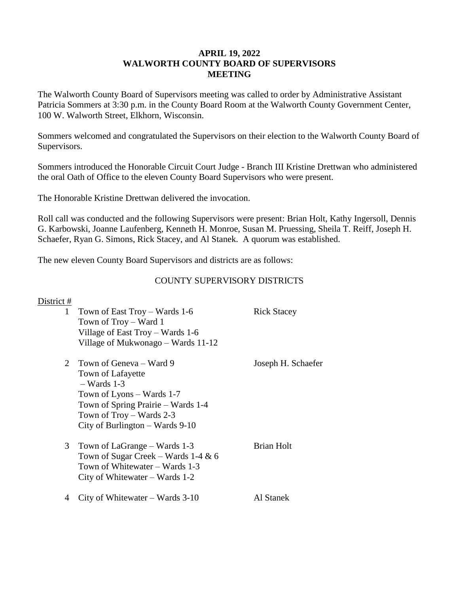#### **APRIL 19, 2022 WALWORTH COUNTY BOARD OF SUPERVISORS MEETING**

The Walworth County Board of Supervisors meeting was called to order by Administrative Assistant Patricia Sommers at 3:30 p.m. in the County Board Room at the Walworth County Government Center, 100 W. Walworth Street, Elkhorn, Wisconsin.

Sommers welcomed and congratulated the Supervisors on their election to the Walworth County Board of Supervisors.

Sommers introduced the Honorable Circuit Court Judge - Branch III Kristine Drettwan who administered the oral Oath of Office to the eleven County Board Supervisors who were present.

The Honorable Kristine Drettwan delivered the invocation.

Roll call was conducted and the following Supervisors were present: Brian Holt, Kathy Ingersoll, Dennis G. Karbowski, Joanne Laufenberg, Kenneth H. Monroe, Susan M. Pruessing, Sheila T. Reiff, Joseph H. Schaefer, Ryan G. Simons, Rick Stacey, and Al Stanek. A quorum was established.

The new eleven County Board Supervisors and districts are as follows:

# COUNTY SUPERVISORY DISTRICTS

| District # |                                                                                                                                                                                                       |                    |
|------------|-------------------------------------------------------------------------------------------------------------------------------------------------------------------------------------------------------|--------------------|
| 1          | Town of East Troy – Wards $1-6$<br>Town of Troy – Ward 1<br>Village of East Troy – Wards 1-6<br>Village of Mukwonago – Wards 11-12                                                                    | <b>Rick Stacey</b> |
| 2          | Town of Geneva - Ward 9<br>Town of Lafayette<br>$-$ Wards 1-3<br>Town of Lyons $-$ Wards 1-7<br>Town of Spring Prairie – Wards 1-4<br>Town of $Troy - Wards 2-3$<br>City of Burlington $-$ Wards 9-10 | Joseph H. Schaefer |
| 3          | Town of LaGrange – Wards 1-3<br>Town of Sugar Creek – Wards 1-4 $& 6$<br>Town of Whitewater - Wards 1-3<br>City of Whitewater – Wards $1-2$                                                           | Brian Holt         |
| 4          | City of Whitewater – Wards $3-10$                                                                                                                                                                     | Al Stanek          |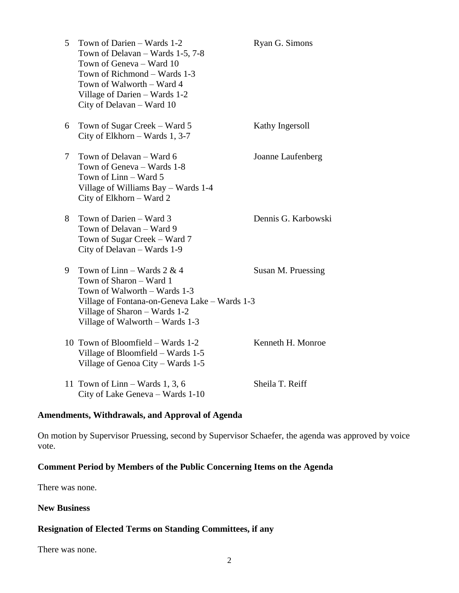| 5      | Town of Darien - Wards 1-2<br>Town of Delavan – Wards 1-5, 7-8<br>Town of Geneva - Ward 10<br>Town of Richmond – Wards 1-3<br>Town of Walworth - Ward 4<br>Village of Darien - Wards 1-2<br>City of Delavan - Ward 10 | Ryan G. Simons      |
|--------|-----------------------------------------------------------------------------------------------------------------------------------------------------------------------------------------------------------------------|---------------------|
| 6      | Town of Sugar Creek – Ward 5<br>City of Elkhorn – Wards $1, 3-7$                                                                                                                                                      | Kathy Ingersoll     |
| $\tau$ | Town of Delavan – Ward 6<br>Town of Geneva - Wards 1-8<br>Town of Linn - Ward 5<br>Village of Williams Bay – Wards 1-4<br>City of Elkhorn – Ward 2                                                                    | Joanne Laufenberg   |
| 8      | Town of Darien - Ward 3<br>Town of Delavan - Ward 9<br>Town of Sugar Creek – Ward 7<br>City of Delavan - Wards 1-9                                                                                                    | Dennis G. Karbowski |
| 9      | Town of Linn – Wards $2 \& 4$<br>Town of Sharon - Ward 1<br>Town of Walworth - Wards 1-3<br>Village of Fontana-on-Geneva Lake - Wards 1-3<br>Village of Sharon - Wards 1-2<br>Village of Walworth - Wards 1-3         | Susan M. Pruessing  |
|        | 10 Town of Bloomfield – Wards 1-2<br>Village of Bloomfield – Wards 1-5<br>Village of Genoa City – Wards 1-5                                                                                                           | Kenneth H. Monroe   |
|        | 11 Town of $Linn - Wards 1, 3, 6$<br>City of Lake Geneva - Wards 1-10                                                                                                                                                 | Sheila T. Reiff     |

# **Amendments, Withdrawals, and Approval of Agenda**

On motion by Supervisor Pruessing, second by Supervisor Schaefer, the agenda was approved by voice vote.

# **Comment Period by Members of the Public Concerning Items on the Agenda**

There was none.

### **New Business**

# **Resignation of Elected Terms on Standing Committees, if any**

There was none.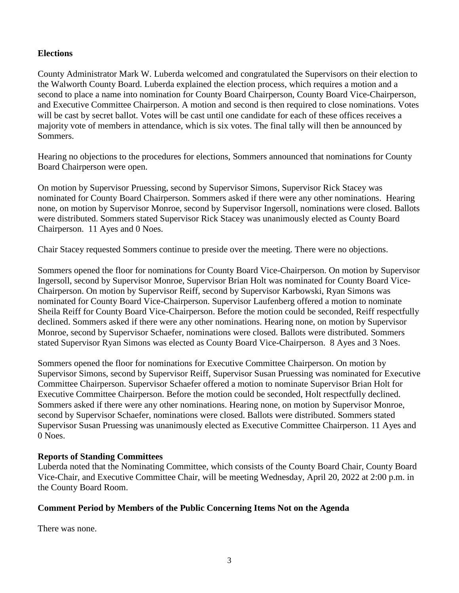### **Elections**

County Administrator Mark W. Luberda welcomed and congratulated the Supervisors on their election to the Walworth County Board. Luberda explained the election process, which requires a motion and a second to place a name into nomination for County Board Chairperson, County Board Vice-Chairperson, and Executive Committee Chairperson. A motion and second is then required to close nominations. Votes will be cast by secret ballot. Votes will be cast until one candidate for each of these offices receives a majority vote of members in attendance, which is six votes. The final tally will then be announced by Sommers.

Hearing no objections to the procedures for elections, Sommers announced that nominations for County Board Chairperson were open.

On motion by Supervisor Pruessing, second by Supervisor Simons, Supervisor Rick Stacey was nominated for County Board Chairperson. Sommers asked if there were any other nominations. Hearing none, on motion by Supervisor Monroe, second by Supervisor Ingersoll, nominations were closed. Ballots were distributed. Sommers stated Supervisor Rick Stacey was unanimously elected as County Board Chairperson. 11 Ayes and 0 Noes.

Chair Stacey requested Sommers continue to preside over the meeting. There were no objections.

Sommers opened the floor for nominations for County Board Vice-Chairperson. On motion by Supervisor Ingersoll, second by Supervisor Monroe, Supervisor Brian Holt was nominated for County Board Vice-Chairperson. On motion by Supervisor Reiff, second by Supervisor Karbowski, Ryan Simons was nominated for County Board Vice-Chairperson. Supervisor Laufenberg offered a motion to nominate Sheila Reiff for County Board Vice-Chairperson. Before the motion could be seconded, Reiff respectfully declined. Sommers asked if there were any other nominations. Hearing none, on motion by Supervisor Monroe, second by Supervisor Schaefer, nominations were closed. Ballots were distributed. Sommers stated Supervisor Ryan Simons was elected as County Board Vice-Chairperson. 8 Ayes and 3 Noes.

Sommers opened the floor for nominations for Executive Committee Chairperson. On motion by Supervisor Simons, second by Supervisor Reiff, Supervisor Susan Pruessing was nominated for Executive Committee Chairperson. Supervisor Schaefer offered a motion to nominate Supervisor Brian Holt for Executive Committee Chairperson. Before the motion could be seconded, Holt respectfully declined. Sommers asked if there were any other nominations. Hearing none, on motion by Supervisor Monroe, second by Supervisor Schaefer, nominations were closed. Ballots were distributed. Sommers stated Supervisor Susan Pruessing was unanimously elected as Executive Committee Chairperson. 11 Ayes and 0 Noes.

## **Reports of Standing Committees**

Luberda noted that the Nominating Committee, which consists of the County Board Chair, County Board Vice-Chair, and Executive Committee Chair, will be meeting Wednesday, April 20, 2022 at 2:00 p.m. in the County Board Room.

## **Comment Period by Members of the Public Concerning Items Not on the Agenda**

There was none.